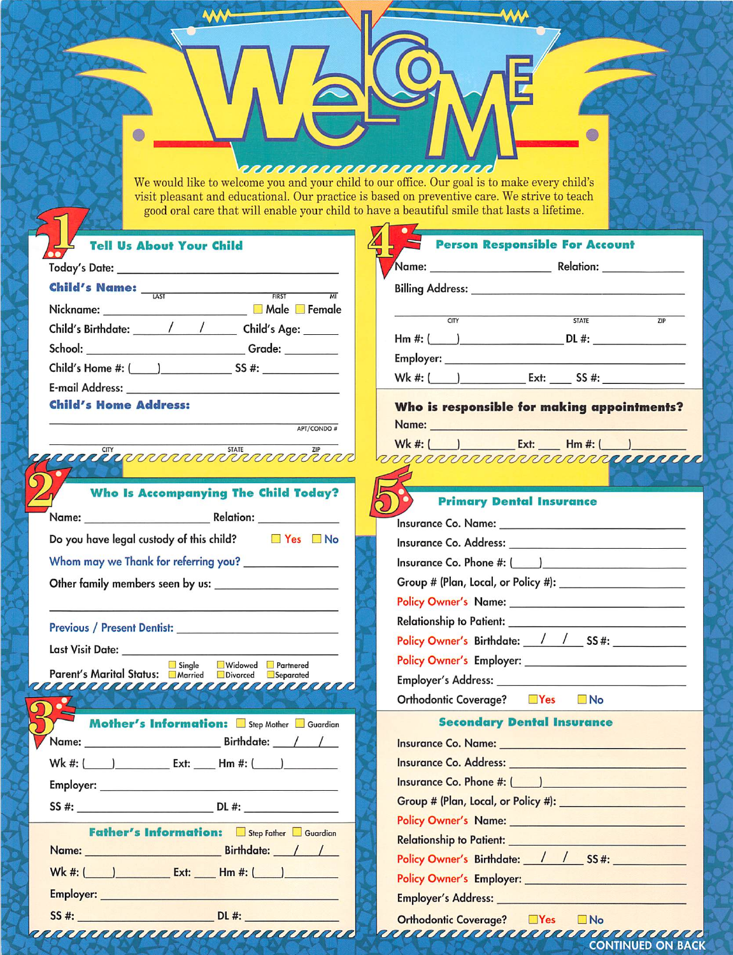| <u> ERRARARARARARARARAR E</u> |  |  |
|-------------------------------|--|--|
|-------------------------------|--|--|

6

**AA** 

 $\bullet$ 

↖

We would like to welcome you and your child to our office. Our goal is to make every child's visit pleasant and educational. Our practice is based on preventive care. We strive to teach good oral care that will enable your child to have a beautiful smile that lasts a lifetime.

| <b>Tell Us About Your Child</b>                                                                                                                                                                                                      | <b>Person Responsible For Account</b>                                                                                                                                                                                                |  |  |  |
|--------------------------------------------------------------------------------------------------------------------------------------------------------------------------------------------------------------------------------------|--------------------------------------------------------------------------------------------------------------------------------------------------------------------------------------------------------------------------------------|--|--|--|
|                                                                                                                                                                                                                                      |                                                                                                                                                                                                                                      |  |  |  |
| <b>Child's Name:</b> $\frac{1}{1451}$                                                                                                                                                                                                | Billing Address: North American State of the Address of the Address of the Address of the Address of the Address of the Address of the Address of the Address of the Address of the Address of the Address of the Address of t       |  |  |  |
|                                                                                                                                                                                                                                      |                                                                                                                                                                                                                                      |  |  |  |
| Child's Birthdate: / / / Child's Age: ____                                                                                                                                                                                           | CITY<br><b>STATE</b><br>ZIP                                                                                                                                                                                                          |  |  |  |
| School: ________________________________Grade: _________                                                                                                                                                                             |                                                                                                                                                                                                                                      |  |  |  |
|                                                                                                                                                                                                                                      |                                                                                                                                                                                                                                      |  |  |  |
|                                                                                                                                                                                                                                      |                                                                                                                                                                                                                                      |  |  |  |
| <b>Child's Home Address:</b>                                                                                                                                                                                                         | Who is responsible for making appointments?                                                                                                                                                                                          |  |  |  |
| APT/CONDO#                                                                                                                                                                                                                           | Name: Name: 2008 - 2008 - 2008 - 2008 - 2008 - 2008 - 2008 - 2010 - 2010 - 2010 - 2010 - 2010 - 2010 - 2010 - 2010 - 2010 - 2010 - 2010 - 2010 - 2010 - 2010 - 2010 - 2010 - 2010 - 2010 - 2010 - 2010 - 2010 - 2010 - 2010 -        |  |  |  |
|                                                                                                                                                                                                                                      | Wk #: ( ) Ext: Hm #: ( )                                                                                                                                                                                                             |  |  |  |
| <b>CARDONAL STATE OF THE CONDUCTIONS OF THE CONDUCT OF THE CONDUCT OF THE CONDUCT OF THE CONDUCT OF THE CONDUCT OF THE CONDUCT OF THE CONDUCT OF THE CONDUCT OF THE CONDUCT OF THE CONDUCT OF THE CONDUCT OF THE CONDUCT OF THE </b> | <b>DELEMENTO DE LA PRODUCCIÓN DE LA PRODUCCIÓN DE LA PRODUCCIÓN DE LA PRODUCCIÓN DE LA PRODUCCIÓN DE LA PRODUCCIÓN</b>                                                                                                               |  |  |  |
|                                                                                                                                                                                                                                      |                                                                                                                                                                                                                                      |  |  |  |
| <b>Who Is Accompanying The Child Today?</b>                                                                                                                                                                                          | <b>Primary Dental Insurance</b>                                                                                                                                                                                                      |  |  |  |
|                                                                                                                                                                                                                                      |                                                                                                                                                                                                                                      |  |  |  |
| Do you have legal custody of this child? $\Box$ Yes $\Box$ No                                                                                                                                                                        |                                                                                                                                                                                                                                      |  |  |  |
| Whom may we Thank for referring you? ________________                                                                                                                                                                                |                                                                                                                                                                                                                                      |  |  |  |
|                                                                                                                                                                                                                                      |                                                                                                                                                                                                                                      |  |  |  |
|                                                                                                                                                                                                                                      |                                                                                                                                                                                                                                      |  |  |  |
|                                                                                                                                                                                                                                      |                                                                                                                                                                                                                                      |  |  |  |
|                                                                                                                                                                                                                                      | Policy Owner's Birthdate: / / SS#:                                                                                                                                                                                                   |  |  |  |
| Single<br>Widowed Partnered                                                                                                                                                                                                          |                                                                                                                                                                                                                                      |  |  |  |
| Parent's Marital Status: Married Divorced Separated<br><u> NEAR KARREN KARREN KARREN K</u>                                                                                                                                           |                                                                                                                                                                                                                                      |  |  |  |
|                                                                                                                                                                                                                                      | Orthodontic Coverage? TYes No                                                                                                                                                                                                        |  |  |  |
| <b>Mother's Information:</b> Step Mother Guardian                                                                                                                                                                                    | <b>Secondary Dental Insurance</b>                                                                                                                                                                                                    |  |  |  |
|                                                                                                                                                                                                                                      | Insurance Co. Name: <u>Andre Co. Name: Andre Co. In the Co. In the Co. In the Co. In the Co. In the Co. In the Co</u>                                                                                                                |  |  |  |
| Wk #: ( <u>___ ) ___________</u> Ext: _____ Hm #: ( ___ ) __________                                                                                                                                                                 | Insurance Co. Address: Universe Co. 2014                                                                                                                                                                                             |  |  |  |
|                                                                                                                                                                                                                                      | Insurance Co. Phone #: ( )                                                                                                                                                                                                           |  |  |  |
| $SS #:$ DL #:                                                                                                                                                                                                                        |                                                                                                                                                                                                                                      |  |  |  |
|                                                                                                                                                                                                                                      | Policy Owner's Name: New York Change of the Change of the Change of the Change of the Change of the Change of the Change of the Change of the Change of the Change of the Change of the Change of the Change of the Change of        |  |  |  |
| <b>Father's Information:</b> Step Father Guardian<br>Name: Birthdate: / /                                                                                                                                                            | Relationship to Patient: <u>New York: New York: New York: New York: New York: New York: New York: New York: New York: New York: New York: New York: New York: New York: New York: New York: New York: New York: New York: New Yo</u> |  |  |  |
|                                                                                                                                                                                                                                      | Policy Owner's Birthdate: / / SS#:                                                                                                                                                                                                   |  |  |  |
| Wk #: ( ) Ext: Hm #: ( )                                                                                                                                                                                                             |                                                                                                                                                                                                                                      |  |  |  |
| <b>Employer: All and Service Contract Contract Contract Contract Contract Contract Contract Contract Contract Contract Contract Contract Contract Contract Contract Contract Contract Contract Contract Contract Contract Contra</b> | <b>Employer's Address: Employer's Address:</b>                                                                                                                                                                                       |  |  |  |
|                                                                                                                                                                                                                                      | Orthodontic Coverage? ■Yes ■No                                                                                                                                                                                                       |  |  |  |
| <u> 1999 PARTICULAR ET ARTICULAR A PARTICULAR A </u>                                                                                                                                                                                 | <b>CONTINUED ON BACK</b>                                                                                                                                                                                                             |  |  |  |